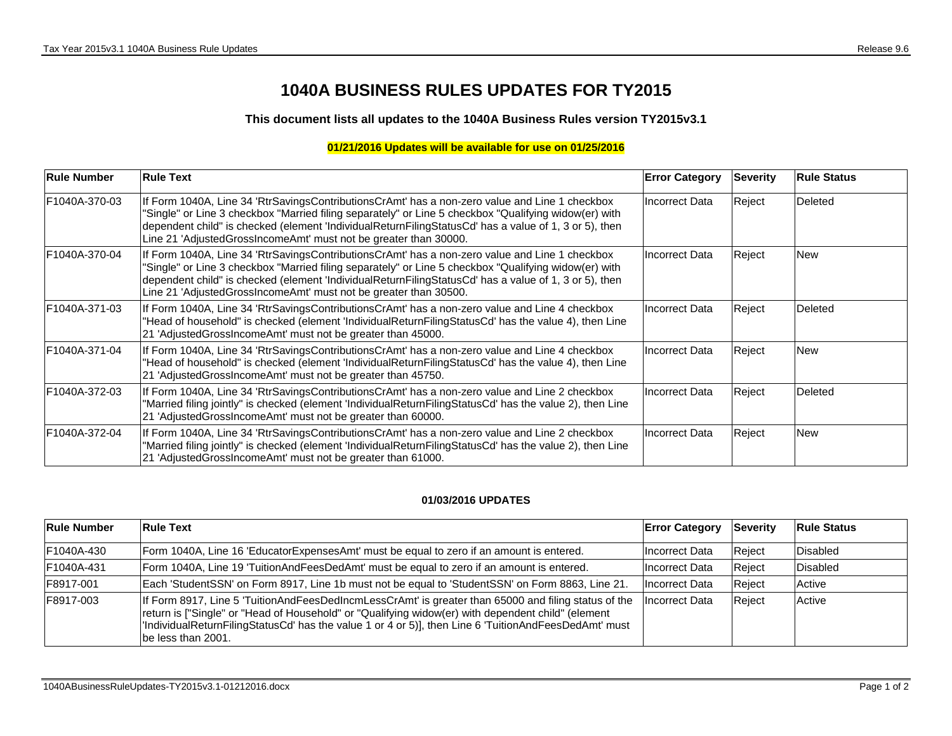## **1040A BUSINESS RULES UPDATES FOR TY2015**

**This document lists all updates to the 1040A Business Rules version TY2015v3.1**

## **01/21/2016 Updates will be available for use on 01/25/2016**

| <b>Rule Number</b> | <b>Rule Text</b>                                                                                                                                                                                                                                                                                                                                                                     | <b>Error Category</b> | <b>Severity</b> | <b>Rule Status</b> |
|--------------------|--------------------------------------------------------------------------------------------------------------------------------------------------------------------------------------------------------------------------------------------------------------------------------------------------------------------------------------------------------------------------------------|-----------------------|-----------------|--------------------|
| F1040A-370-03      | If Form 1040A, Line 34 'RtrSavingsContributionsCrAmt' has a non-zero value and Line 1 checkbox<br>"Single" or Line 3 checkbox "Married filing separately" or Line 5 checkbox "Qualifying widow(er) with<br>dependent child" is checked (element 'IndividualReturnFilingStatusCd' has a value of 1, 3 or 5), then<br>Line 21 'AdjustedGrossIncomeAmt' must not be greater than 30000. | Incorrect Data        | Reject          | Deleted            |
| F1040A-370-04      | If Form 1040A, Line 34 'RtrSavingsContributionsCrAmt' has a non-zero value and Line 1 checkbox<br>"Single" or Line 3 checkbox "Married filing separately" or Line 5 checkbox "Qualifying widow(er) with<br>dependent child" is checked (element 'IndividualReturnFilingStatusCd' has a value of 1, 3 or 5), then<br>Line 21 'AdjustedGrossIncomeAmt' must not be greater than 30500. | Incorrect Data        | Reject          | <b>New</b>         |
| F1040A-371-03      | If Form 1040A, Line 34 'RtrSavingsContributionsCrAmt' has a non-zero value and Line 4 checkbox<br>"Head of household" is checked (element 'IndividualReturnFilingStatusCd' has the value 4), then Line<br>21 'AdjustedGrossIncomeAmt' must not be greater than 45000.                                                                                                                | Incorrect Data        | Reject          | Deleted            |
| F1040A-371-04      | If Form 1040A, Line 34 'RtrSavingsContributionsCrAmt' has a non-zero value and Line 4 checkbox<br>"Head of household" is checked (element 'IndividualReturnFilingStatusCd' has the value 4), then Line<br>21 'AdjustedGrossIncomeAmt' must not be greater than 45750.                                                                                                                | <b>Incorrect Data</b> | Reject          | <b>New</b>         |
| F1040A-372-03      | If Form 1040A, Line 34 'RtrSavingsContributionsCrAmt' has a non-zero value and Line 2 checkbox<br>"Married filing jointly" is checked (element 'IndividualReturnFilingStatusCd' has the value 2), then Line<br>21 'AdjustedGrossIncomeAmt' must not be greater than 60000.                                                                                                           | Incorrect Data        | Reject          | Deleted            |
| F1040A-372-04      | If Form 1040A, Line 34 'RtrSavingsContributionsCrAmt' has a non-zero value and Line 2 checkbox<br>"Married filing jointly" is checked (element 'IndividualReturnFilingStatusCd' has the value 2), then Line<br>21 'AdjustedGrossIncomeAmt' must not be greater than 61000.                                                                                                           | <b>Incorrect Data</b> | Reject          | <b>New</b>         |

## **01/03/2016 UPDATES**

| <b>Rule Number</b> | <b>Rule Text</b>                                                                                                                                                                                                                                                                                                                         | <b>Error Category</b> | Severity | <b>Rule Status</b> |
|--------------------|------------------------------------------------------------------------------------------------------------------------------------------------------------------------------------------------------------------------------------------------------------------------------------------------------------------------------------------|-----------------------|----------|--------------------|
| F1040A-430         | Form 1040A, Line 16 'EducatorExpensesAmt' must be equal to zero if an amount is entered.                                                                                                                                                                                                                                                 | <b>Incorrect Data</b> | Reject   | Disabled           |
| F1040A-431         | Form 1040A, Line 19 'TuitionAndFeesDedAmt' must be equal to zero if an amount is entered.                                                                                                                                                                                                                                                | Incorrect Data        | Reject   | Disabled           |
| IF8917-001         | Each 'StudentSSN' on Form 8917, Line 1b must not be equal to 'StudentSSN' on Form 8863, Line 21.                                                                                                                                                                                                                                         | Incorrect Data        | Reject   | Active             |
| IF8917-003         | If Form 8917, Line 5 'TuitionAndFeesDedIncmLessCrAmt' is greater than 65000 and filing status of the<br>return is ["Single" or "Head of Household" or "Qualifying widow(er) with dependent child" (element<br>IndividualReturnFilingStatusCd' has the value 1 or 4 or 5)], then Line 6 'TuitionAndFeesDedAmt' must<br>be less than 2001. | Incorrect Data        | Reject   | Active             |